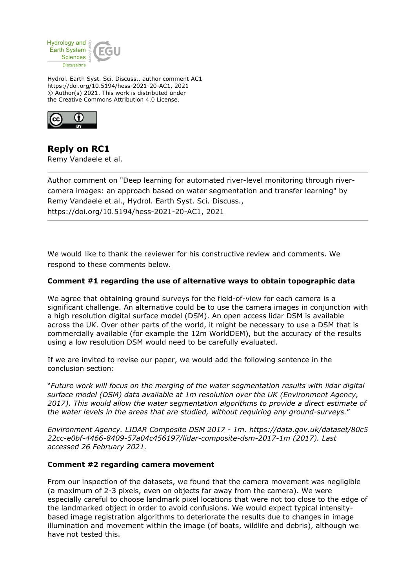

Hydrol. Earth Syst. Sci. Discuss., author comment AC1 https://doi.org/10.5194/hess-2021-20-AC1, 2021 © Author(s) 2021. This work is distributed under the Creative Commons Attribution 4.0 License.



**Reply on RC1** Remy Vandaele et al.

Author comment on "Deep learning for automated river-level monitoring through rivercamera images: an approach based on water segmentation and transfer learning" by Remy Vandaele et al., Hydrol. Earth Syst. Sci. Discuss., https://doi.org/10.5194/hess-2021-20-AC1, 2021

We would like to thank the reviewer for his constructive review and comments. We respond to these comments below.

## **Comment #1 regarding the use of alternative ways to obtain topographic data**

We agree that obtaining ground surveys for the field-of-view for each camera is a significant challenge. An alternative could be to use the camera images in conjunction with a high resolution digital surface model (DSM). An open access lidar DSM is available across the UK. Over other parts of the world, it might be necessary to use a DSM that is commercially available (for example the 12m WorldDEM), but the accuracy of the results using a low resolution DSM would need to be carefully evaluated.

If we are invited to revise our paper, we would add the following sentence in the conclusion section:

"*Future work will focus on the merging of the water segmentation results with lidar digital surface model (DSM) data available at 1m resolution over the UK (Environment Agency, 2017). This would allow the water segmentation algorithms to provide a direct estimate of the water levels in the areas that are studied, without requiring any ground-surveys.*"

*Environment Agency. LIDAR Composite DSM 2017 - 1m. https://data.gov.uk/dataset/80c5 22cc-e0bf-4466-8409-57a04c456197/lidar-composite-dsm-2017-1m (2017). Last accessed 26 February 2021.*

## **Comment #2 regarding camera movement**

From our inspection of the datasets, we found that the camera movement was negligible (a maximum of 2-3 pixels, even on objects far away from the camera). We were especially careful to choose landmark pixel locations that were not too close to the edge of the landmarked object in order to avoid confusions. We would expect typical intensitybased image registration algorithms to deteriorate the results due to changes in image illumination and movement within the image (of boats, wildlife and debris), although we have not tested this.